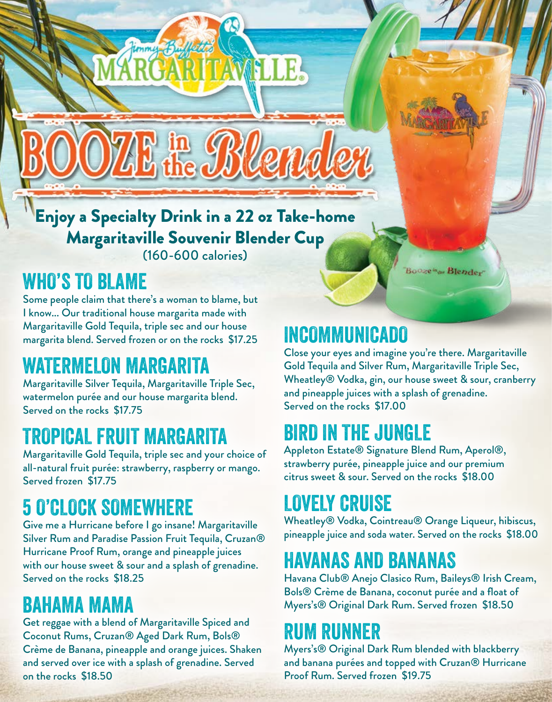Enjoy a Specialty Drink in a 22 oz Take-home Margaritaville Souvenir Blender Cup (160-600 calories)

mmy Buffer

#### WHO'S TO BLAME

Some people claim that there's a woman to blame, but I know... Our traditional house margarita made with Margaritaville Gold Tequila, triple sec and our house margarita blend. Served frozen or on the rocks \$17.25

## WATERMELON MARGARITA

Margaritaville Silver Tequila, Margaritaville Triple Sec, watermelon purée and our house margarita blend. Served on the rocks \$17.75

## TROPICAL FRUIT MARGARITA

Margaritaville Gold Tequila, triple sec and your choice of all-natural fruit purée: strawberry, raspberry or mango. Served frozen \$17.75

# 5 O'CLOCK SOMEWHERE

Give me a Hurricane before I go insane! Margaritaville Silver Rum and Paradise Passion Fruit Tequila, Cruzan® Hurricane Proof Rum, orange and pineapple juices with our house sweet & sour and a splash of grenadine. Served on the rocks \$18.25

#### BAHAMA MAMA

Get reggae with a blend of Margaritaville Spiced and Coconut Rums, Cruzan® Aged Dark Rum, Bols® Crème de Banana, pineapple and orange juices. Shaken and served over ice with a splash of grenadine. Served on the rocks \$18.50

#### **INCOMMUNICADO**

Close your eyes and imagine you're there. Margaritaville Gold Tequila and Silver Rum, Margaritaville Triple Sec, Wheatley® Vodka, gin, our house sweet & sour, cranberry and pineapple juices with a splash of grenadine. Served on the rocks \$17.00

Booze's Blender

## BIRD IN THE JUNGLE

Appleton Estate® Signature Blend Rum, Aperol®, strawberry purée, pineapple juice and our premium citrus sweet & sour. Served on the rocks \$18.00

### LOVELY CRUISE

Wheatley® Vodka, Cointreau® Orange Liqueur, hibiscus, pineapple juice and soda water. Served on the rocks \$18.00

#### HAVANAS AND BANANAS

Havana Club® Anejo Clasico Rum, Baileys® Irish Cream, Bols® Crème de Banana, coconut purée and a float of Myers's® Original Dark Rum. Served frozen \$18.50

#### RUM RUNNER

Myers's® Original Dark Rum blended with blackberry and banana purées and topped with Cruzan® Hurricane Proof Rum. Served frozen \$19.75